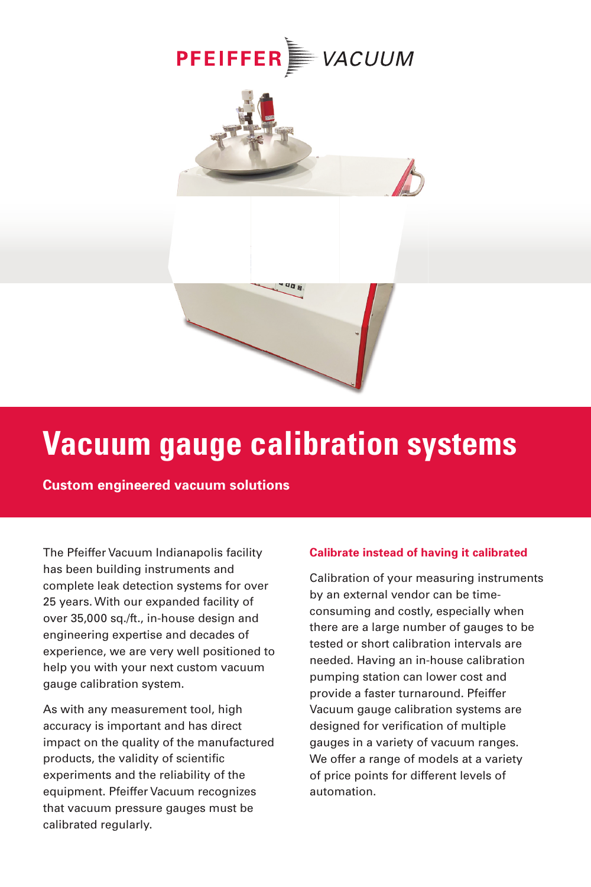





## **Vacuum gauge calibration systems**

 **Custom engineered vacuum solutions**

The Pfeiffer Vacuum Indianapolis facility has been building instruments and complete leak detection systems for over 25 years. With our expanded facility of over 35,000 sq./ft., in-house design and engineering expertise and decades of experience, we are very well positioned to help you with your next custom vacuum gauge calibration system.

As with any measurement tool, high accuracy is important and has direct impact on the quality of the manufactured products, the validity of scientific experiments and the reliability of the equipment. Pfeiffer Vacuum recognizes that vacuum pressure gauges must be calibrated regularly.

### **Calibrate instead of having it calibrated**

Calibration of your measuring instruments by an external vendor can be timeconsuming and costly, especially when there are a large number of gauges to be tested or short calibration intervals are needed. Having an in-house calibration pumping station can lower cost and provide a faster turnaround. Pfeiffer Vacuum gauge calibration systems are designed for verification of multiple gauges in a variety of vacuum ranges. We offer a range of models at a variety of price points for different levels of automation.